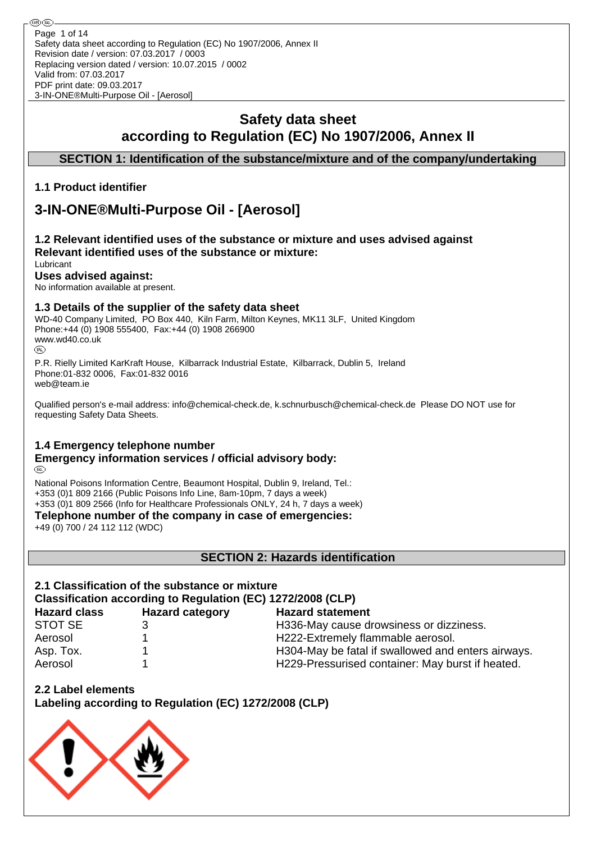## **Safety data sheet according to Regulation (EC) No 1907/2006, Annex II**

## **SECTION 1: Identification of the substance/mixture and of the company/undertaking**

## **1.1 Product identifier**

# **3-IN-ONE®Multi-Purpose Oil - [Aerosol]**

#### **1.2 Relevant identified uses of the substance or mixture and uses advised against Relevant identified uses of the substance or mixture:** Lubricant

## **Uses advised against:**

No information available at present.

## **1.3 Details of the supplier of the safety data sheet**

WD-40 Company Limited, PO Box 440, Kiln Farm, Milton Keynes, MK11 3LF, United Kingdom Phone:+44 (0) 1908 555400, Fax:+44 (0) 1908 266900 www.wd40.co.uk (RD)

P.R. Rielly Limited KarKraft House, Kilbarrack Industrial Estate, Kilbarrack, Dublin 5, Ireland Phone:01-832 0006, Fax:01-832 0016 web@team.ie

Qualified person's e-mail address: info@chemical-check.de, k.schnurbusch@chemical-check.de Please DO NOT use for requesting Safety Data Sheets.

## **1.4 Emergency telephone number**

#### **Emergency information services / official advisory body:** (RD)

National Poisons Information Centre, Beaumont Hospital, Dublin 9, Ireland, Tel.: +353 (0)1 809 2166 (Public Poisons Info Line, 8am-10pm, 7 days a week) +353 (0)1 809 2566 (Info for Healthcare Professionals ONLY, 24 h, 7 days a week)

**Telephone number of the company in case of emergencies:**

+49 (0) 700 / 24 112 112 (WDC)

**SECTION 2: Hazards identification**

## **2.1 Classification of the substance or mixture Classification according to Regulation (EC) 1272/2008 (CLP)**

| <b>Hazard class</b> | <b>Hazard category</b> | <b>Hazard statement</b>                            |
|---------------------|------------------------|----------------------------------------------------|
| STOT SE             |                        | H336-May cause drowsiness or dizziness.            |
| Aerosol             |                        | H222-Extremely flammable aerosol.                  |
| Asp. Tox.           |                        | H304-May be fatal if swallowed and enters airways. |
| Aerosol             |                        | H229-Pressurised container: May burst if heated.   |

**2.2 Label elements**

**Labeling according to Regulation (EC) 1272/2008 (CLP)**

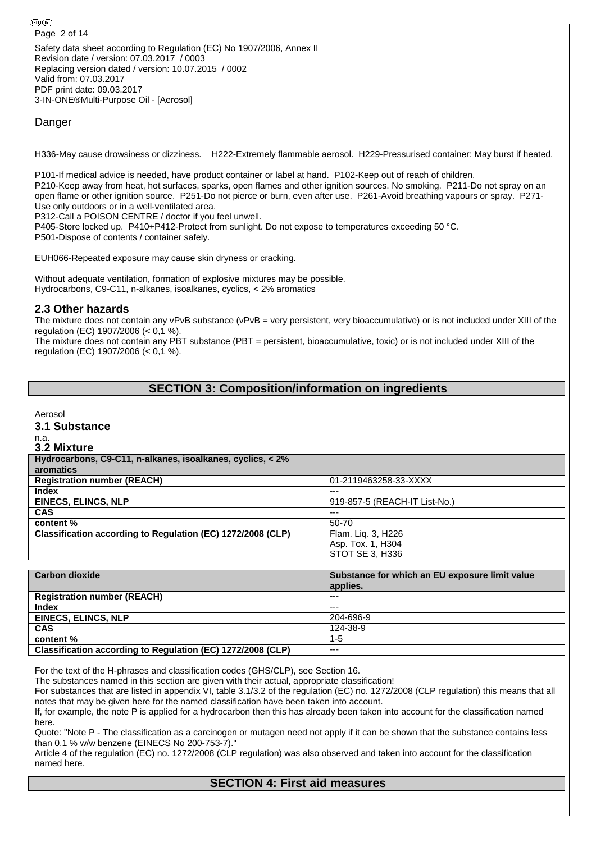Safety data sheet according to Regulation (EC) No 1907/2006, Annex II Revision date / version: 07.03.2017 / 0003 Replacing version dated / version: 10.07.2015 / 0002 Valid from: 07.03.2017 PDF print date: 09.03.2017 3-IN-ONE®Multi-Purpose Oil - [Aerosol] Page 2 of 14

## Danger

H336-May cause drowsiness or dizziness. H222-Extremely flammable aerosol. H229-Pressurised container: May burst if heated.

P101-If medical advice is needed, have product container or label at hand. P102-Keep out of reach of children. P210-Keep away from heat, hot surfaces, sparks, open flames and other ignition sources. No smoking. P211-Do not spray on an open flame or other ignition source. P251-Do not pierce or burn, even after use. P261-Avoid breathing vapours or spray. P271- Use only outdoors or in a well-ventilated area.

P312-Call a POISON CENTRE / doctor if you feel unwell.

P405-Store locked up. P410+P412-Protect from sunlight. Do not expose to temperatures exceeding 50 °C. P501-Dispose of contents / container safely.

EUH066-Repeated exposure may cause skin dryness or cracking.

Without adequate ventilation, formation of explosive mixtures may be possible. Hydrocarbons, C9-C11, n-alkanes, isoalkanes, cyclics, < 2% aromatics

## **2.3 Other hazards**

The mixture does not contain any vPvB substance (vPvB = very persistent, very bioaccumulative) or is not included under XIII of the regulation (EC) 1907/2006 (< 0,1 %).

The mixture does not contain any PBT substance (PBT = persistent, bioaccumulative, toxic) or is not included under XIII of the regulation (EC) 1907/2006 (< 0,1 %).

## **SECTION 3: Composition/information on ingredients**

Aerosol

**3.1 Substance**

#### n.a. **3.2 Mixture**

| Hydrocarbons, C9-C11, n-alkanes, isoalkanes, cyclics, < 2%  |                               |
|-------------------------------------------------------------|-------------------------------|
| aromatics                                                   |                               |
| <b>Registration number (REACH)</b>                          | 01-2119463258-33-XXXX         |
| Index                                                       | $---$                         |
| <b>EINECS, ELINCS, NLP</b>                                  | 919-857-5 (REACH-IT List-No.) |
| <b>CAS</b>                                                  | $---$                         |
| content %                                                   | 50-70                         |
| Classification according to Regulation (EC) 1272/2008 (CLP) | Flam. Lig. 3, H226            |
|                                                             | Asp. Tox. 1, H304             |
|                                                             | STOT SE 3, H336               |

| <b>Carbon dioxide</b>                                       | Substance for which an EU exposure limit value<br>applies. |
|-------------------------------------------------------------|------------------------------------------------------------|
| <b>Registration number (REACH)</b>                          | $---$                                                      |
| <b>Index</b>                                                | $---$                                                      |
| <b>EINECS, ELINCS, NLP</b>                                  | 204-696-9                                                  |
| <b>CAS</b>                                                  | 124-38-9                                                   |
| content %                                                   | $1 - 5$                                                    |
| Classification according to Regulation (EC) 1272/2008 (CLP) | $---$                                                      |

For the text of the H-phrases and classification codes (GHS/CLP), see Section 16.

The substances named in this section are given with their actual, appropriate classification!

For substances that are listed in appendix VI, table 3.1/3.2 of the regulation (EC) no. 1272/2008 (CLP regulation) this means that all notes that may be given here for the named classification have been taken into account.

If, for example, the note P is applied for a hydrocarbon then this has already been taken into account for the classification named here.

Quote: "Note P - The classification as a carcinogen or mutagen need not apply if it can be shown that the substance contains less than 0,1 % w/w benzene (EINECS No 200-753-7)."

Article 4 of the regulation (EC) no. 1272/2008 (CLP regulation) was also observed and taken into account for the classification named here.

## **SECTION 4: First aid measures**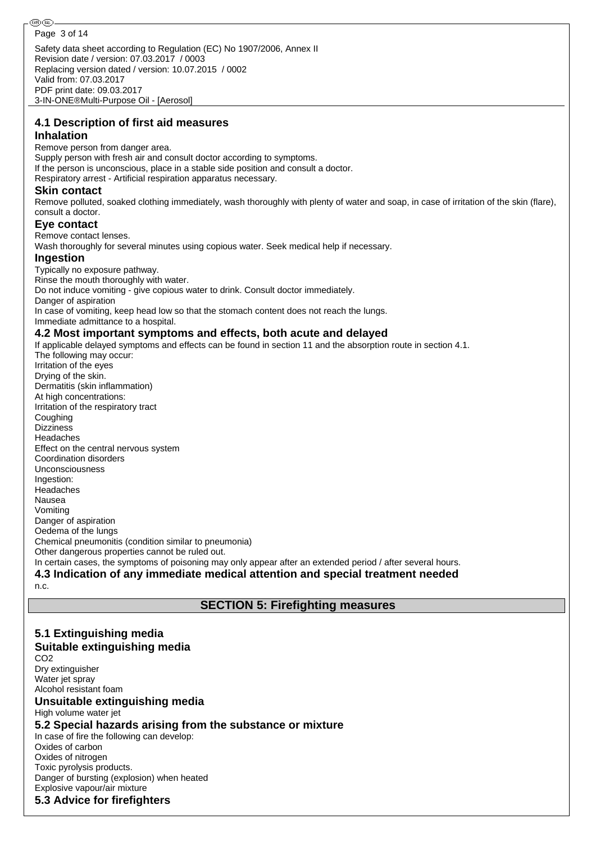Safety data sheet according to Regulation (EC) No 1907/2006, Annex II Revision date / version: 07.03.2017 / 0003 Replacing version dated / version: 10.07.2015 / 0002 Valid from: 07.03.2017 PDF print date: 09.03.2017 3-IN-ONE®Multi-Purpose Oil - [Aerosol] Page 3 of 14

# **4.1 Description of first aid measures**

## **Inhalation**

Remove person from danger area. Supply person with fresh air and consult doctor according to symptoms. If the person is unconscious, place in a stable side position and consult a doctor. Respiratory arrest - Artificial respiration apparatus necessary.

### **Skin contact**

Remove polluted, soaked clothing immediately, wash thoroughly with plenty of water and soap, in case of irritation of the skin (flare), consult a doctor.

### **Eye contact**

Remove contact lenses.

Wash thoroughly for several minutes using copious water. Seek medical help if necessary.

### **Ingestion**

Typically no exposure pathway. Rinse the mouth thoroughly with water. Do not induce vomiting - give copious water to drink. Consult doctor immediately. Danger of aspiration In case of vomiting, keep head low so that the stomach content does not reach the lungs.

Immediate admittance to a hospital.

## **4.2 Most important symptoms and effects, both acute and delayed**

If applicable delayed symptoms and effects can be found in section 11 and the absorption route in section 4.1. The following may occur: Irritation of the eyes Drying of the skin. Dermatitis (skin inflammation) At high concentrations: Irritation of the respiratory tract **Coughing Dizziness** Headaches Effect on the central nervous system Coordination disorders Unconsciousness Ingestion: **Headaches** Nausea Vomiting Danger of aspiration Oedema of the lungs Chemical pneumonitis (condition similar to pneumonia) Other dangerous properties cannot be ruled out. In certain cases, the symptoms of poisoning may only appear after an extended period / after several hours. **4.3 Indication of any immediate medical attention and special treatment needed**

#### n.c.

## **SECTION 5: Firefighting measures**

**5.1 Extinguishing media Suitable extinguishing media** C<sub>O2</sub> Dry extinguisher Water jet spray Alcohol resistant foam **Unsuitable extinguishing media** High volume water jet **5.2 Special hazards arising from the substance or mixture** In case of fire the following can develop: Oxides of carbon Oxides of nitrogen Toxic pyrolysis products. Danger of bursting (explosion) when heated Explosive vapour/air mixture **5.3 Advice for firefighters**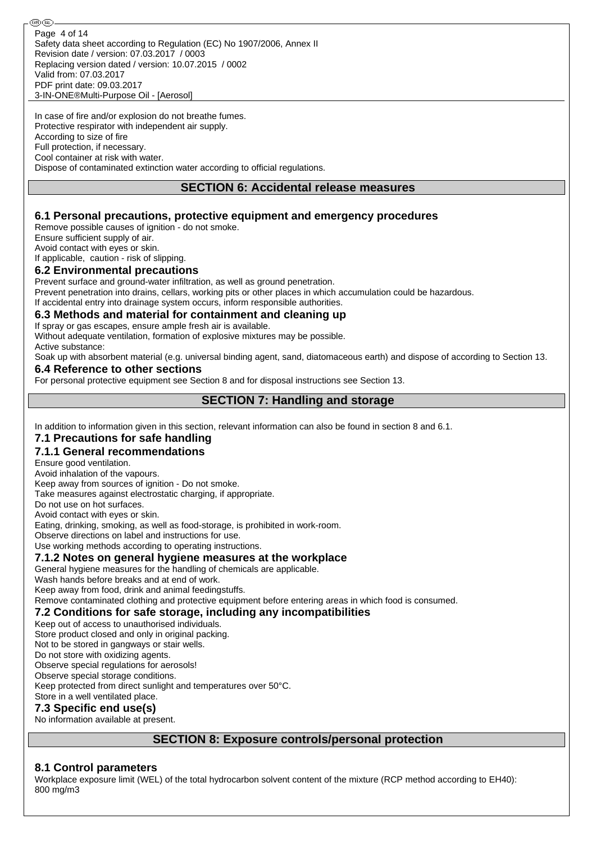In case of fire and/or explosion do not breathe fumes. Protective respirator with independent air supply. According to size of fire Full protection, if necessary. Cool container at risk with water. Dispose of contaminated extinction water according to official regulations.

## **SECTION 6: Accidental release measures**

## **6.1 Personal precautions, protective equipment and emergency procedures**

Remove possible causes of ignition - do not smoke.

Ensure sufficient supply of air.

**®** (බ

Avoid contact with eyes or skin.

If applicable, caution - risk of slipping.

## **6.2 Environmental precautions**

Prevent surface and ground-water infiltration, as well as ground penetration.

Prevent penetration into drains, cellars, working pits or other places in which accumulation could be hazardous. If accidental entry into drainage system occurs, inform responsible authorities.

### **6.3 Methods and material for containment and cleaning up**

If spray or gas escapes, ensure ample fresh air is available.

Without adequate ventilation, formation of explosive mixtures may be possible. Active substance:

Soak up with absorbent material (e.g. universal binding agent, sand, diatomaceous earth) and dispose of according to Section 13.

### **6.4 Reference to other sections**

For personal protective equipment see Section 8 and for disposal instructions see Section 13.

## **SECTION 7: Handling and storage**

In addition to information given in this section, relevant information can also be found in section 8 and 6.1.

## **7.1 Precautions for safe handling**

**7.1.1 General recommendations**

Ensure good ventilation.

Avoid inhalation of the vapours.

Keep away from sources of ignition - Do not smoke.

Take measures against electrostatic charging, if appropriate.

Do not use on hot surfaces.

Avoid contact with eyes or skin.

Eating, drinking, smoking, as well as food-storage, is prohibited in work-room.

Observe directions on label and instructions for use.

Use working methods according to operating instructions.

## **7.1.2 Notes on general hygiene measures at the workplace**

General hygiene measures for the handling of chemicals are applicable.

Wash hands before breaks and at end of work.

Keep away from food, drink and animal feedingstuffs.

Remove contaminated clothing and protective equipment before entering areas in which food is consumed.

#### **7.2 Conditions for safe storage, including any incompatibilities**

Keep out of access to unauthorised individuals.

Store product closed and only in original packing.

Not to be stored in gangways or stair wells.

Do not store with oxidizing agents.

Observe special regulations for aerosols! Observe special storage conditions.

Keep protected from direct sunlight and temperatures over 50°C.

Store in a well ventilated place.

## **7.3 Specific end use(s)**

No information available at present.

## **SECTION 8: Exposure controls/personal protection**

## **8.1 Control parameters**

Workplace exposure limit (WEL) of the total hydrocarbon solvent content of the mixture (RCP method according to EH40): 800 mg/m3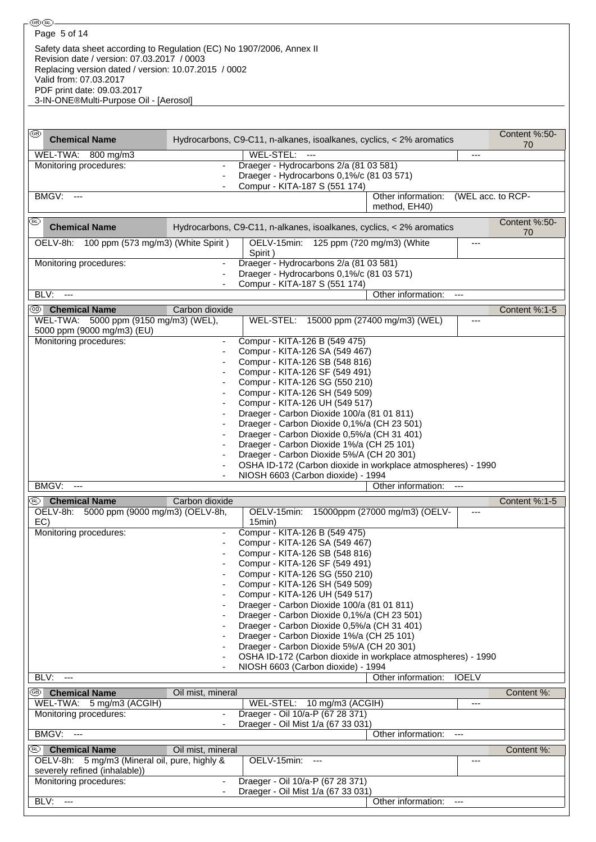3-IN-ONE®Multi-Purpose Oil - [Aerosol]

| ⊛<br><b>Chemical Name</b>                                                      |                          | Hydrocarbons, C9-C11, n-alkanes, isoalkanes, cyclics, < 2% aromatics                                                 |                                     |                | Content %:50-<br>70 |  |  |
|--------------------------------------------------------------------------------|--------------------------|----------------------------------------------------------------------------------------------------------------------|-------------------------------------|----------------|---------------------|--|--|
| WEL-TWA: 800 mg/m3                                                             |                          | WEL-STEL:                                                                                                            |                                     | $---$          |                     |  |  |
| Monitoring procedures:                                                         |                          | Draeger - Hydrocarbons 2/a (81 03 581)<br>Draeger - Hydrocarbons 0,1%/c (81 03 571)<br>Compur - KITA-187 S (551 174) |                                     |                |                     |  |  |
| BMGV:<br>$\overline{a}$                                                        |                          |                                                                                                                      | Other information:<br>method, EH40) |                | (WEL acc. to RCP-   |  |  |
| ⅏<br><b>Chemical Name</b>                                                      |                          | Hydrocarbons, C9-C11, n-alkanes, isoalkanes, cyclics, < 2% aromatics                                                 |                                     |                | Content %:50-<br>70 |  |  |
| OELV-8h: 100 ppm (573 mg/m3) (White Spirit)                                    |                          | OELV-15min: 125 ppm (720 mg/m3) (White<br>Spirit)                                                                    |                                     | ---            |                     |  |  |
| Monitoring procedures:                                                         |                          | Draeger - Hydrocarbons 2/a (81 03 581)<br>Draeger - Hydrocarbons 0,1%/c (81 03 571)<br>Compur - KITA-187 S (551 174) |                                     |                |                     |  |  |
| BLV:<br>$\overline{\phantom{a}}$                                               |                          |                                                                                                                      | Other information:                  | ---            |                     |  |  |
| <sup>®</sup> Chemical Name                                                     | Carbon dioxide           |                                                                                                                      |                                     |                | Content %:1-5       |  |  |
| WEL-TWA: 5000 ppm (9150 mg/m3) (WEL),<br>5000 ppm (9000 mg/m3) (EU)            |                          | WEL-STEL:                                                                                                            | 15000 ppm (27400 mg/m3) (WEL)       | $---$          |                     |  |  |
| Monitoring procedures:                                                         |                          | Compur - KITA-126 B (549 475)                                                                                        |                                     |                |                     |  |  |
|                                                                                |                          | Compur - KITA-126 SA (549 467)                                                                                       |                                     |                |                     |  |  |
|                                                                                |                          | Compur - KITA-126 SB (548 816)<br>Compur - KITA-126 SF (549 491)                                                     |                                     |                |                     |  |  |
|                                                                                |                          | Compur - KITA-126 SG (550 210)                                                                                       |                                     |                |                     |  |  |
|                                                                                |                          | Compur - KITA-126 SH (549 509)                                                                                       |                                     |                |                     |  |  |
|                                                                                |                          | Compur - KITA-126 UH (549 517)                                                                                       |                                     |                |                     |  |  |
|                                                                                |                          | Draeger - Carbon Dioxide 100/a (81 01 811)                                                                           |                                     |                |                     |  |  |
|                                                                                |                          | Draeger - Carbon Dioxide 0,1%/a (CH 23 501)                                                                          |                                     |                |                     |  |  |
|                                                                                |                          | Draeger - Carbon Dioxide 0,5%/a (CH 31 401)<br>Draeger - Carbon Dioxide 1%/a (CH 25 101)                             |                                     |                |                     |  |  |
|                                                                                |                          | Draeger - Carbon Dioxide 5%/A (CH 20 301)                                                                            |                                     |                |                     |  |  |
|                                                                                |                          | OSHA ID-172 (Carbon dioxide in workplace atmospheres) - 1990                                                         |                                     |                |                     |  |  |
|                                                                                |                          | NIOSH 6603 (Carbon dioxide) - 1994                                                                                   |                                     |                |                     |  |  |
| BMGV:<br>---                                                                   |                          |                                                                                                                      | Other information:                  | $---$          |                     |  |  |
| <sup>49</sup> Chemical Name                                                    | Carbon dioxide           |                                                                                                                      |                                     |                | Content %:1-5       |  |  |
| OELV-8h: 5000 ppm (9000 mg/m3) (OELV-8h,<br>EC)                                |                          | OELV-15min:<br>15min)                                                                                                | 15000ppm (27000 mg/m3) (OELV-       | $---$          |                     |  |  |
| Monitoring procedures:                                                         |                          | Compur - KITA-126 B (549 475)<br>Compur - KITA-126 SA (549 467)                                                      |                                     |                |                     |  |  |
|                                                                                |                          | Compur - KITA-126 SB (548 816)                                                                                       |                                     |                |                     |  |  |
|                                                                                |                          | Compur - KITA-126 SF (549 491)                                                                                       |                                     |                |                     |  |  |
|                                                                                |                          | Compur - KITA-126 SG (550 210)                                                                                       |                                     |                |                     |  |  |
|                                                                                |                          | Compur - KITA-126 SH (549 509)                                                                                       |                                     |                |                     |  |  |
|                                                                                |                          | Compur - KITA-126 UH (549 517)<br>Draeger - Carbon Dioxide 100/a (81 01 811)                                         |                                     |                |                     |  |  |
|                                                                                |                          | Draeger - Carbon Dioxide 0,1%/a (CH 23 501)                                                                          |                                     |                |                     |  |  |
|                                                                                |                          | Draeger - Carbon Dioxide 0,5%/a (CH 31 401)                                                                          |                                     |                |                     |  |  |
|                                                                                |                          | Draeger - Carbon Dioxide 1%/a (CH 25 101)                                                                            |                                     |                |                     |  |  |
|                                                                                |                          | Draeger - Carbon Dioxide 5%/A (CH 20 301)                                                                            |                                     |                |                     |  |  |
|                                                                                |                          | OSHA ID-172 (Carbon dioxide in workplace atmospheres) - 1990<br>NIOSH 6603 (Carbon dioxide) - 1994                   |                                     |                |                     |  |  |
| BLV:<br>$\overline{a}$                                                         |                          |                                                                                                                      | Other information:                  | <b>IOELV</b>   |                     |  |  |
| <sup>5</sup> Chemical Name                                                     |                          |                                                                                                                      |                                     |                | Content %:          |  |  |
| WEL-TWA: 5 mg/m3 (ACGIH)                                                       | Oil mist, mineral        | WEL-STEL: 10 mg/m3 (ACGIH)                                                                                           |                                     | ---            |                     |  |  |
| Monitoring procedures:                                                         |                          | Draeger - Oil 10/a-P (67 28 371)                                                                                     |                                     |                |                     |  |  |
|                                                                                |                          | Draeger - Oil Mist 1/a (67 33 031)                                                                                   |                                     |                |                     |  |  |
| BMGV:<br>$\overline{\phantom{a}}$                                              |                          |                                                                                                                      | Other information:                  | $\overline{a}$ |                     |  |  |
| (RL)<br><b>Chemical Name</b>                                                   | Oil mist, mineral        |                                                                                                                      |                                     |                | Content %:          |  |  |
| OELV-8h: 5 mg/m3 (Mineral oil, pure, highly &<br>severely refined (inhalable)) |                          | OELV-15min:                                                                                                          |                                     | ---            |                     |  |  |
| Monitoring procedures:                                                         | $\overline{\phantom{a}}$ | Draeger - Oil 10/a-P (67 28 371)                                                                                     |                                     |                |                     |  |  |
| BLV:<br>$\sim$ $\sim$                                                          |                          | Draeger - Oil Mist 1/a (67 33 031)                                                                                   | Other information:                  | ---            |                     |  |  |
|                                                                                |                          |                                                                                                                      |                                     |                |                     |  |  |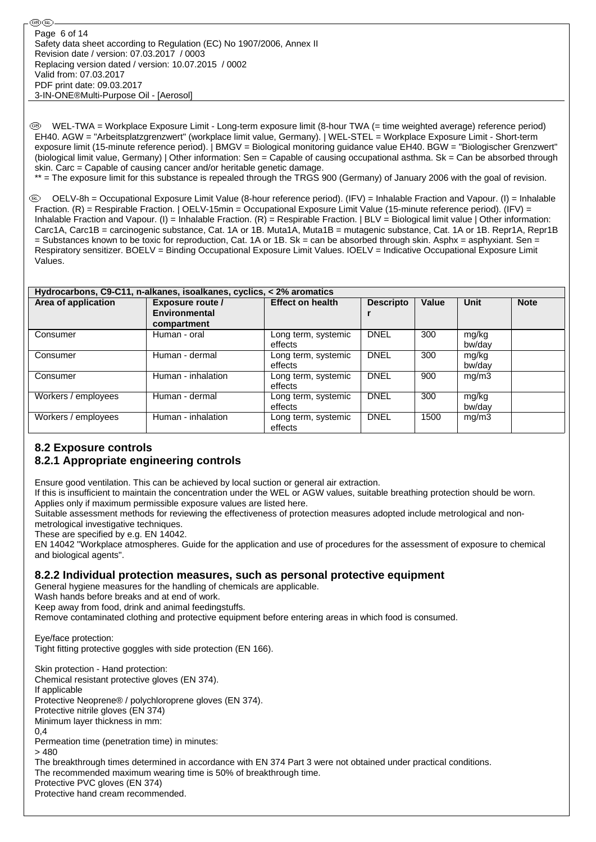WEL-TWA = Workplace Exposure Limit - Long-term exposure limit (8-hour TWA (= time weighted average) reference period) EH40. AGW = "Arbeitsplatzgrenzwert" (workplace limit value, Germany). | WEL-STEL = Workplace Exposure Limit - Short-term exposure limit (15-minute reference period). | BMGV = Biological monitoring guidance value EH40. BGW = "Biologischer Grenzwert" (biological limit value, Germany) | Other information: Sen = Capable of causing occupational asthma. Sk = Can be absorbed through skin. Carc = Capable of causing cancer and/or heritable genetic damage.

\*\* = The exposure limit for this substance is repealed through the TRGS 900 (Germany) of January 2006 with the goal of revision.

 $\circledR$  OELV-8h = Occupational Exposure Limit Value (8-hour reference period). (IFV) = Inhalable Fraction and Vapour. (I) = Inhalable Fraction. (R) = Respirable Fraction. | OELV-15min = Occupational Exposure Limit Value (15-minute reference period). (IFV) = Inhalable Fraction and Vapour. (I) = Inhalable Fraction. (R) = Respirable Fraction. | BLV = Biological limit value | Other information: Carc1A, Carc1B = carcinogenic substance, Cat. 1A or 1B. Muta1A, Muta1B = mutagenic substance, Cat. 1A or 1B. Repr1A, Repr1B  $=$  Substances known to be toxic for reproduction, Cat. 1A or 1B. Sk = can be absorbed through skin. Asphx = asphyxiant. Sen = Respiratory sensitizer. BOELV = Binding Occupational Exposure Limit Values. IOELV = Indicative Occupational Exposure Limit Values.

| Hydrocarbons, C9-C11, n-alkanes, isoalkanes, cyclics, < 2% aromatics |                    |                                |                  |       |                 |             |  |  |  |
|----------------------------------------------------------------------|--------------------|--------------------------------|------------------|-------|-----------------|-------------|--|--|--|
| Area of application                                                  | Exposure route /   | <b>Effect on health</b>        | <b>Descripto</b> | Value | <b>Unit</b>     | <b>Note</b> |  |  |  |
|                                                                      | Environmental      |                                |                  |       |                 |             |  |  |  |
|                                                                      | compartment        |                                |                  |       |                 |             |  |  |  |
| Consumer                                                             | Human - oral       | Long term, systemic<br>effects | <b>DNEL</b>      | 300   | mg/kg<br>bw/day |             |  |  |  |
| Consumer                                                             | Human - dermal     | Long term, systemic<br>effects | <b>DNEL</b>      | 300   | mg/kg<br>bw/dav |             |  |  |  |
| Consumer                                                             | Human - inhalation | Long term, systemic<br>effects | <b>DNEL</b>      | 900   | mg/m3           |             |  |  |  |
| Workers / employees                                                  | Human - dermal     | Long term, systemic<br>effects | <b>DNEL</b>      | 300   | mg/kg<br>bw/dav |             |  |  |  |
| Workers / employees                                                  | Human - inhalation | Long term, systemic<br>effects | <b>DNEL</b>      | 1500  | mg/m3           |             |  |  |  |

## **8.2 Exposure controls 8.2.1 Appropriate engineering controls**

Ensure good ventilation. This can be achieved by local suction or general air extraction.

If this is insufficient to maintain the concentration under the WEL or AGW values, suitable breathing protection should be worn. Applies only if maximum permissible exposure values are listed here.

Suitable assessment methods for reviewing the effectiveness of protection measures adopted include metrological and non-

metrological investigative techniques. These are specified by e.g. EN 14042.

EN 14042 "Workplace atmospheres. Guide for the application and use of procedures for the assessment of exposure to chemical and biological agents".

## **8.2.2 Individual protection measures, such as personal protective equipment**

General hygiene measures for the handling of chemicals are applicable.

Wash hands before breaks and at end of work.

Keep away from food, drink and animal feedingstuffs.

Remove contaminated clothing and protective equipment before entering areas in which food is consumed.

Eye/face protection: Tight fitting protective goggles with side protection (EN 166).

Skin protection - Hand protection: Chemical resistant protective gloves (EN 374). If applicable Protective Neoprene® / polychloroprene gloves (EN 374). Protective nitrile gloves (EN 374) Minimum layer thickness in mm: 0,4 Permeation time (penetration time) in minutes:  $> 480$ The breakthrough times determined in accordance with EN 374 Part 3 were not obtained under practical conditions. The recommended maximum wearing time is 50% of breakthrough time. Protective PVC gloves (EN 374) Protective hand cream recommended.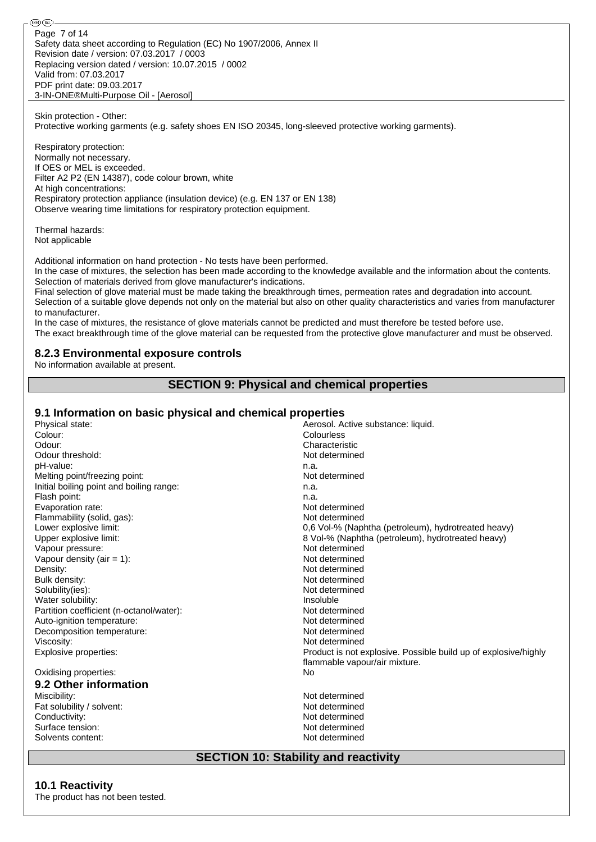௵௵ Page 7 of 14Safety data sheet according to Regulation (EC) No 1907/2006, Annex II Revision date / version: 07.03.2017 / 0003 Replacing version dated / version: 10.07.2015 / 0002 Valid from: 07.03.2017 PDF print date: 09.03.2017 3-IN-ONE®Multi-Purpose Oil - [Aerosol]

Skin protection - Other: Protective working garments (e.g. safety shoes EN ISO 20345, long-sleeved protective working garments).

Respiratory protection: Normally not necessary. If OES or MEL is exceeded. Filter A2 P2 (EN 14387), code colour brown, white At high concentrations: Respiratory protection appliance (insulation device) (e.g. EN 137 or EN 138) Observe wearing time limitations for respiratory protection equipment.

Thermal hazards: Not applicable

Additional information on hand protection - No tests have been performed.

In the case of mixtures, the selection has been made according to the knowledge available and the information about the contents. Selection of materials derived from glove manufacturer's indications.

Final selection of glove material must be made taking the breakthrough times, permeation rates and degradation into account. Selection of a suitable glove depends not only on the material but also on other quality characteristics and varies from manufacturer to manufacturer.

In the case of mixtures, the resistance of glove materials cannot be predicted and must therefore be tested before use. The exact breakthrough time of the glove material can be requested from the protective glove manufacturer and must be observed.

## **8.2.3 Environmental exposure controls**

No information available at present.

## **SECTION 9: Physical and chemical properties**

## **9.1 Information on basic physical and chemical properties**

| Physical state:                          | Aerosol. Active substance: liquid.                              |
|------------------------------------------|-----------------------------------------------------------------|
| Colour:                                  | Colourless                                                      |
| Odour:                                   | Characteristic                                                  |
| Odour threshold:                         | Not determined                                                  |
| pH-value:                                | n.a.                                                            |
| Melting point/freezing point:            | Not determined                                                  |
| Initial boiling point and boiling range: | n.a.                                                            |
| Flash point:                             | n.a.                                                            |
| Evaporation rate:                        | Not determined                                                  |
| Flammability (solid, gas):               | Not determined                                                  |
| Lower explosive limit:                   | 0,6 Vol-% (Naphtha (petroleum), hydrotreated heavy)             |
| Upper explosive limit:                   | 8 Vol-% (Naphtha (petroleum), hydrotreated heavy)               |
| Vapour pressure:                         | Not determined                                                  |
| Vapour density (air $= 1$ ):             | Not determined                                                  |
| Density:                                 | Not determined                                                  |
| Bulk density:                            | Not determined                                                  |
| Solubility(ies):                         | Not determined                                                  |
| Water solubility:                        | Insoluble                                                       |
| Partition coefficient (n-octanol/water): | Not determined                                                  |
| Auto-ignition temperature:               | Not determined                                                  |
| Decomposition temperature:               | Not determined                                                  |
| Viscosity:                               | Not determined                                                  |
| Explosive properties:                    | Product is not explosive. Possible build up of explosive/highly |
|                                          | flammable vapour/air mixture.                                   |
| Oxidising properties:                    | <b>No</b>                                                       |
| 9.2 Other information                    |                                                                 |
| Miscibility:                             | Not determined                                                  |
| Fat solubility / solvent:                | Not determined                                                  |
| Conductivity:                            | Not determined                                                  |
| Surface tension:                         | Not determined                                                  |
| Solvents content:                        | Not determined                                                  |

## **SECTION 10: Stability and reactivity**

## **10.1 Reactivity**

The product has not been tested.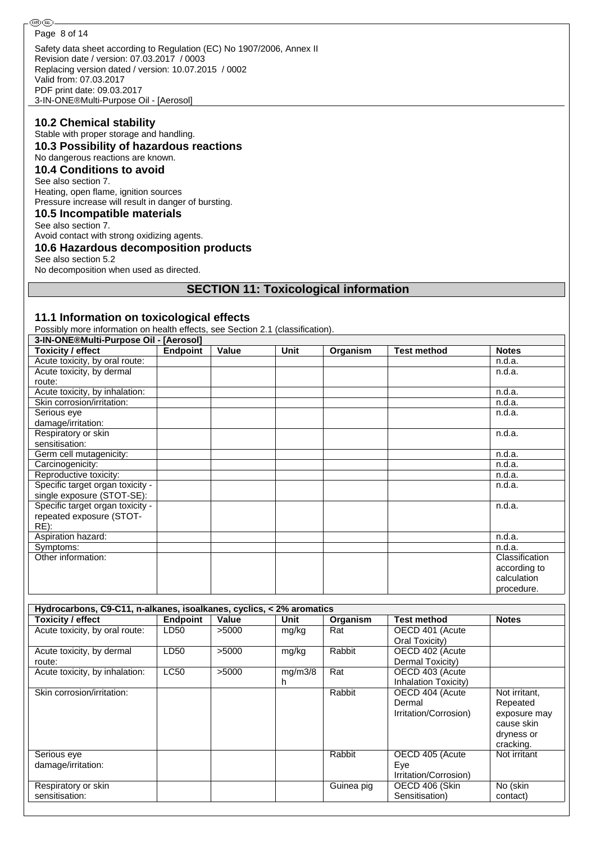Safety data sheet according to Regulation (EC) No 1907/2006, Annex II Revision date / version: 07.03.2017 / 0003 Replacing version dated / version: 10.07.2015 / 0002 Valid from: 07.03.2017 PDF print date: 09.03.2017 Page 8 of 14

3-IN-ONE®Multi-Purpose Oil - [Aerosol]

## **10.2 Chemical stability**

Stable with proper storage and handling.

## **10.3 Possibility of hazardous reactions**

#### No dangerous reactions are known. **10.4 Conditions to avoid**

# See also section 7.

Heating, open flame, ignition sources Pressure increase will result in danger of bursting.

#### **10.5 Incompatible materials** See also section 7.

Avoid contact with strong oxidizing agents.

### **10.6 Hazardous decomposition products**

See also section 5.2

No decomposition when used as directed.

## **SECTION 11: Toxicological information**

### **11.1 Information on toxicological effects**

Possibly more information on health effects, see Section 2.1 (classification).

| 3-IN-ONE®Multi-Purpose Oil - [Aerosol] |                 |       |             |          |                    |                |  |
|----------------------------------------|-----------------|-------|-------------|----------|--------------------|----------------|--|
| <b>Toxicity / effect</b>               | <b>Endpoint</b> | Value | <b>Unit</b> | Organism | <b>Test method</b> | <b>Notes</b>   |  |
| Acute toxicity, by oral route:         |                 |       |             |          |                    | n.d.a.         |  |
| Acute toxicity, by dermal              |                 |       |             |          |                    | n.d.a.         |  |
| route:                                 |                 |       |             |          |                    |                |  |
| Acute toxicity, by inhalation:         |                 |       |             |          |                    | n.d.a.         |  |
| Skin corrosion/irritation:             |                 |       |             |          |                    | n.d.a.         |  |
| Serious eye                            |                 |       |             |          |                    | n.d.a.         |  |
| damage/irritation:                     |                 |       |             |          |                    |                |  |
| Respiratory or skin                    |                 |       |             |          |                    | n.d.a.         |  |
| sensitisation:                         |                 |       |             |          |                    |                |  |
| Germ cell mutagenicity:                |                 |       |             |          |                    | n.d.a.         |  |
| Carcinogenicity:                       |                 |       |             |          |                    | n.d.a.         |  |
| Reproductive toxicity:                 |                 |       |             |          |                    | n.d.a.         |  |
| Specific target organ toxicity -       |                 |       |             |          |                    | n.d.a.         |  |
| single exposure (STOT-SE):             |                 |       |             |          |                    |                |  |
| Specific target organ toxicity -       |                 |       |             |          |                    | n.d.a.         |  |
| repeated exposure (STOT-               |                 |       |             |          |                    |                |  |
| RE):                                   |                 |       |             |          |                    |                |  |
| Aspiration hazard:                     |                 |       |             |          |                    | n.d.a.         |  |
| Symptoms:                              |                 |       |             |          |                    | n.d.a.         |  |
| Other information:                     |                 |       |             |          |                    | Classification |  |
|                                        |                 |       |             |          |                    | according to   |  |
|                                        |                 |       |             |          |                    | calculation    |  |
|                                        |                 |       |             |          |                    | procedure.     |  |

| Hydrocarbons, C9-C11, n-alkanes, isoalkanes, cyclics, < 2% aromatics |             |       |         |            |                       |               |  |  |  |
|----------------------------------------------------------------------|-------------|-------|---------|------------|-----------------------|---------------|--|--|--|
| <b>Toxicity / effect</b>                                             | Endpoint    | Value | Unit    | Organism   | <b>Test method</b>    | <b>Notes</b>  |  |  |  |
| Acute toxicity, by oral route:                                       | LD50        | >5000 | mg/kg   | Rat        | OECD 401 (Acute       |               |  |  |  |
|                                                                      |             |       |         |            | Oral Toxicity)        |               |  |  |  |
| Acute toxicity, by dermal                                            | LD50        | >5000 | mg/kg   | Rabbit     | OECD 402 (Acute       |               |  |  |  |
| route:                                                               |             |       |         |            | Dermal Toxicity)      |               |  |  |  |
| Acute toxicity, by inhalation:                                       | <b>LC50</b> | >5000 | mg/m3/8 | Rat        | OECD 403 (Acute       |               |  |  |  |
|                                                                      |             |       | h       |            | Inhalation Toxicity)  |               |  |  |  |
| Skin corrosion/irritation:                                           |             |       |         | Rabbit     | OECD 404 (Acute       | Not irritant, |  |  |  |
|                                                                      |             |       |         |            | Dermal                | Repeated      |  |  |  |
|                                                                      |             |       |         |            | Irritation/Corrosion) | exposure may  |  |  |  |
|                                                                      |             |       |         |            |                       | cause skin    |  |  |  |
|                                                                      |             |       |         |            |                       | dryness or    |  |  |  |
|                                                                      |             |       |         |            |                       | cracking.     |  |  |  |
| Serious eye                                                          |             |       |         | Rabbit     | OECD 405 (Acute       | Not irritant  |  |  |  |
| damage/irritation:                                                   |             |       |         |            | Eye                   |               |  |  |  |
|                                                                      |             |       |         |            | Irritation/Corrosion) |               |  |  |  |
| Respiratory or skin                                                  |             |       |         | Guinea pig | OECD 406 (Skin        | No (skin      |  |  |  |
| sensitisation:                                                       |             |       |         |            | Sensitisation)        | contact)      |  |  |  |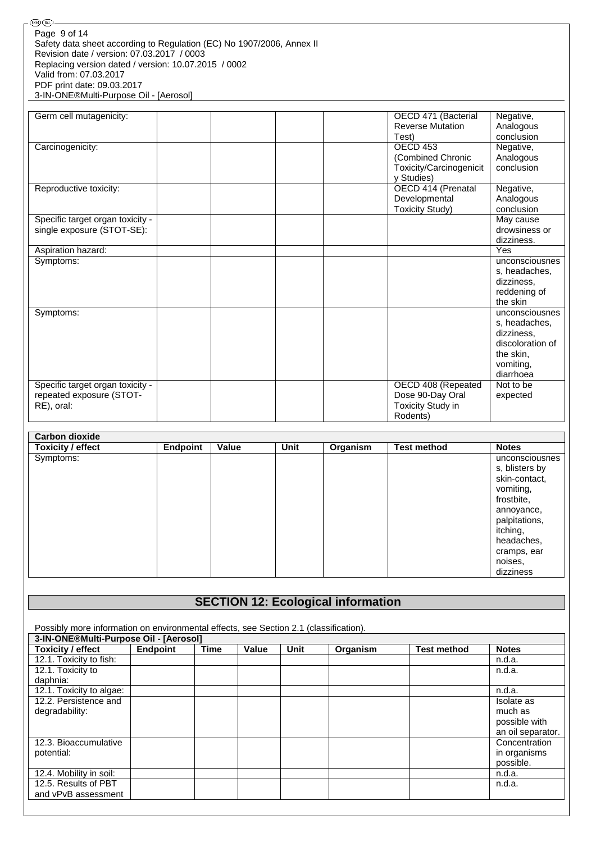| -@00                                                                  |
|-----------------------------------------------------------------------|
| Page 9 of 14                                                          |
| Safety data sheet according to Regulation (EC) No 1907/2006, Annex II |
| Revision date / version: 07.03.2017 / 0003                            |
| Replacing version dated / version: 10.07.2015 / 0002                  |
| Valid from: 07.03.2017                                                |
| PDF print date: 09.03.2017                                            |
| 3-IN-ONE®Multi-Purpose Oil - [Aerosol]                                |

| Germ cell mutagenicity:          |  | OECD 471 (Bacterial     | Negative,        |
|----------------------------------|--|-------------------------|------------------|
|                                  |  | <b>Reverse Mutation</b> | Analogous        |
|                                  |  | Test)                   | conclusion       |
| Carcinogenicity:                 |  | <b>OECD 453</b>         | Negative,        |
|                                  |  | (Combined Chronic       | Analogous        |
|                                  |  | Toxicity/Carcinogenicit | conclusion       |
|                                  |  | y Studies)              |                  |
| Reproductive toxicity:           |  | OECD 414 (Prenatal      | Negative,        |
|                                  |  | Developmental           | Analogous        |
|                                  |  | <b>Toxicity Study)</b>  | conclusion       |
| Specific target organ toxicity - |  |                         | May cause        |
| single exposure (STOT-SE):       |  |                         | drowsiness or    |
|                                  |  |                         | dizziness.       |
| Aspiration hazard:               |  |                         | Yes              |
| Symptoms:                        |  |                         | unconsciousnes   |
|                                  |  |                         | s, headaches,    |
|                                  |  |                         | dizziness.       |
|                                  |  |                         | reddening of     |
|                                  |  |                         | the skin         |
| Symptoms:                        |  |                         | unconsciousnes   |
|                                  |  |                         | s, headaches,    |
|                                  |  |                         | dizziness,       |
|                                  |  |                         | discoloration of |
|                                  |  |                         | the skin,        |
|                                  |  |                         | vomiting,        |
|                                  |  |                         | diarrhoea        |
| Specific target organ toxicity - |  | OECD 408 (Repeated      | Not to be        |
| repeated exposure (STOT-         |  | Dose 90-Day Oral        | expected         |
| RE), oral:                       |  | Toxicity Study in       |                  |
|                                  |  | Rodents)                |                  |

| <b>Carbon dioxide</b>    |                 |       |             |          |                    |                                                                                                                                                                              |
|--------------------------|-----------------|-------|-------------|----------|--------------------|------------------------------------------------------------------------------------------------------------------------------------------------------------------------------|
| <b>Toxicity / effect</b> | <b>Endpoint</b> | Value | <b>Unit</b> | Organism | <b>Test method</b> | <b>Notes</b>                                                                                                                                                                 |
| Symptoms:                |                 |       |             |          |                    | unconsciousnes<br>s, blisters by<br>skin-contact,<br>vomiting,<br>frostbite,<br>annoyance,<br>palpitations,<br>itching,<br>headaches,<br>cramps, ear<br>noises,<br>dizziness |

# **SECTION 12: Ecological information**

| Possibly more information on environmental effects, see Section 2.1 (classification). |                 |             |       |      |          |                    |                   |
|---------------------------------------------------------------------------------------|-----------------|-------------|-------|------|----------|--------------------|-------------------|
| 3-IN-ONE®Multi-Purpose Oil - [Aerosol]                                                |                 |             |       |      |          |                    |                   |
| <b>Toxicity / effect</b>                                                              | <b>Endpoint</b> | <b>Time</b> | Value | Unit | Organism | <b>Test method</b> | <b>Notes</b>      |
| 12.1. Toxicity to fish:                                                               |                 |             |       |      |          |                    | n.d.a.            |
| 12.1. Toxicity to                                                                     |                 |             |       |      |          |                    | n.d.a.            |
| daphnia:                                                                              |                 |             |       |      |          |                    |                   |
| 12.1. Toxicity to algae:                                                              |                 |             |       |      |          |                    | n.d.a.            |
| 12.2. Persistence and                                                                 |                 |             |       |      |          |                    | Isolate as        |
| degradability:                                                                        |                 |             |       |      |          |                    | much as           |
|                                                                                       |                 |             |       |      |          |                    | possible with     |
|                                                                                       |                 |             |       |      |          |                    | an oil separator. |
| 12.3. Bioaccumulative                                                                 |                 |             |       |      |          |                    | Concentration     |
| potential:                                                                            |                 |             |       |      |          |                    | in organisms      |
|                                                                                       |                 |             |       |      |          |                    | possible.         |
| 12.4. Mobility in soil:                                                               |                 |             |       |      |          |                    | n.d.a.            |
| 12.5. Results of PBT                                                                  |                 |             |       |      |          |                    | n.d.a.            |
| and vPvB assessment                                                                   |                 |             |       |      |          |                    |                   |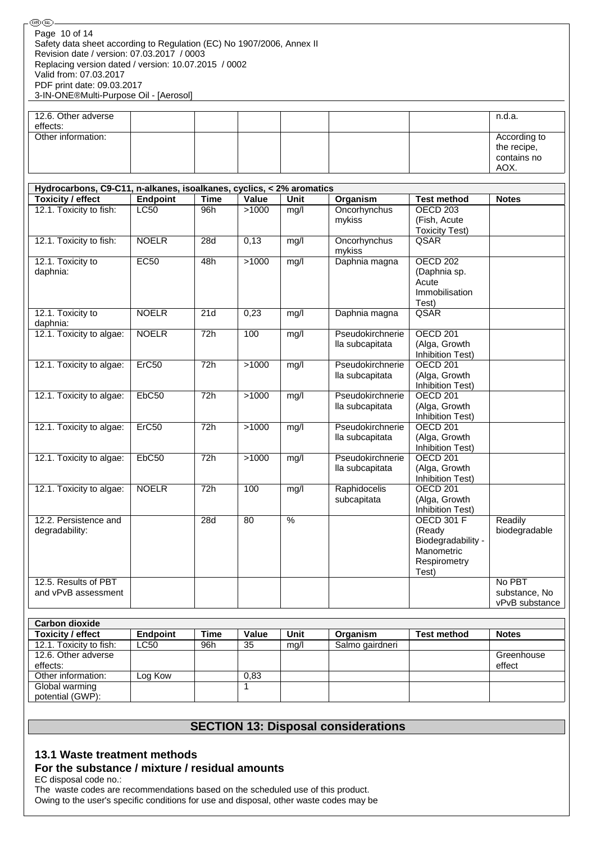| 12.6. Other adverse |  |  |  | n.d.a.                     |
|---------------------|--|--|--|----------------------------|
| effects:            |  |  |  |                            |
| Other information:  |  |  |  | According to               |
|                     |  |  |  | the recipe,<br>contains no |
|                     |  |  |  |                            |
|                     |  |  |  | AOX.                       |

| Hydrocarbons, C9-C11, n-alkanes, isoalkanes, cyclics, < 2% aromatics |                 |             |       |                          |                                     |                                                                                          |                                           |
|----------------------------------------------------------------------|-----------------|-------------|-------|--------------------------|-------------------------------------|------------------------------------------------------------------------------------------|-------------------------------------------|
| <b>Toxicity / effect</b>                                             | <b>Endpoint</b> | <b>Time</b> | Value | <b>Unit</b>              | <b>Organism</b>                     | <b>Test method</b>                                                                       | <b>Notes</b>                              |
| 12.1. Toxicity to fish:                                              | LC50            | 96h         | >1000 | mg/l                     | Oncorhynchus<br>mykiss              | <b>OECD 203</b><br>(Fish, Acute<br><b>Toxicity Test)</b>                                 |                                           |
| 12.1. Toxicity to fish:                                              | <b>NOELR</b>    | 28d         | 0,13  | mg/l                     | Oncorhynchus<br>mykiss              | QSAR                                                                                     |                                           |
| 12.1. Toxicity to<br>daphnia:                                        | EC50            | 48h         | >1000 | mg/l                     | Daphnia magna                       | <b>OECD 202</b><br>(Daphnia sp.<br>Acute<br>Immobilisation<br>Test)                      |                                           |
| 12.1. Toxicity to<br>daphnia:                                        | <b>NOELR</b>    | 21d         | 0,23  | mg/l                     | Daphnia magna                       | QSAR                                                                                     |                                           |
| 12.1. Toxicity to algae:                                             | <b>NOELR</b>    | 72h         | 100   | mg/l                     | Pseudokirchnerie<br>lla subcapitata | <b>OECD 201</b><br>(Alga, Growth<br>Inhibition Test)                                     |                                           |
| 12.1. Toxicity to algae:                                             | Erc50           | 72h         | >1000 | mg/l                     | Pseudokirchnerie<br>lla subcapitata | <b>OECD 201</b><br>(Alga, Growth<br><b>Inhibition Test)</b>                              |                                           |
| 12.1. Toxicity to algae:                                             | EbC50           | 72h         | >1000 | mg/l                     | Pseudokirchnerie<br>lla subcapitata | <b>OECD 201</b><br>(Alga, Growth<br>Inhibition Test)                                     |                                           |
| 12.1. Toxicity to algae:                                             | Erc50           | 72h         | >1000 | mg/l                     | Pseudokirchnerie<br>lla subcapitata | <b>OECD 201</b><br>(Alga, Growth<br><b>Inhibition Test)</b>                              |                                           |
| 12.1. Toxicity to algae:                                             | EbC50           | 72h         | >1000 | mg/l                     | Pseudokirchnerie<br>lla subcapitata | <b>OECD 201</b><br>(Alga, Growth<br><b>Inhibition Test)</b>                              |                                           |
| 12.1. Toxicity to algae:                                             | <b>NOELR</b>    | 72h         | 100   | mg/l                     | Raphidocelis<br>subcapitata         | <b>OECD 201</b><br>(Alga, Growth<br>Inhibition Test)                                     |                                           |
| 12.2. Persistence and<br>degradability:                              |                 | 28d         | 80    | $\overline{\frac{9}{6}}$ |                                     | <b>OECD 301 F</b><br>(Ready<br>Biodegradability -<br>Manometric<br>Respirometry<br>Test) | Readily<br>biodegradable                  |
| 12.5. Results of PBT<br>and vPvB assessment                          |                 |             |       |                          |                                     |                                                                                          | No PBT<br>substance. No<br>vPvB substance |

| <b>Carbon dioxide</b>   |             |             |       |      |                 |                    |              |
|-------------------------|-------------|-------------|-------|------|-----------------|--------------------|--------------|
| Toxicity / effect       | Endpoint    | <b>Time</b> | Value | Unit | Organism        | <b>Test method</b> | <b>Notes</b> |
| 12.1. Toxicity to fish: | <b>LC50</b> | 96h         | -35   | mq/l | Salmo gairdneri |                    |              |
| 12.6. Other adverse     |             |             |       |      |                 |                    | Greenhouse   |
| effects:                |             |             |       |      |                 |                    | effect       |
| Other information:      | ∟og Kow     |             | 0.83  |      |                 |                    |              |
| Global warming          |             |             |       |      |                 |                    |              |
| potential (GWP):        |             |             |       |      |                 |                    |              |

## **SECTION 13: Disposal considerations**

## **13.1 Waste treatment methods**

## **For the substance / mixture / residual amounts**

EC disposal code no.:

The waste codes are recommendations based on the scheduled use of this product. Owing to the user's specific conditions for use and disposal, other waste codes may be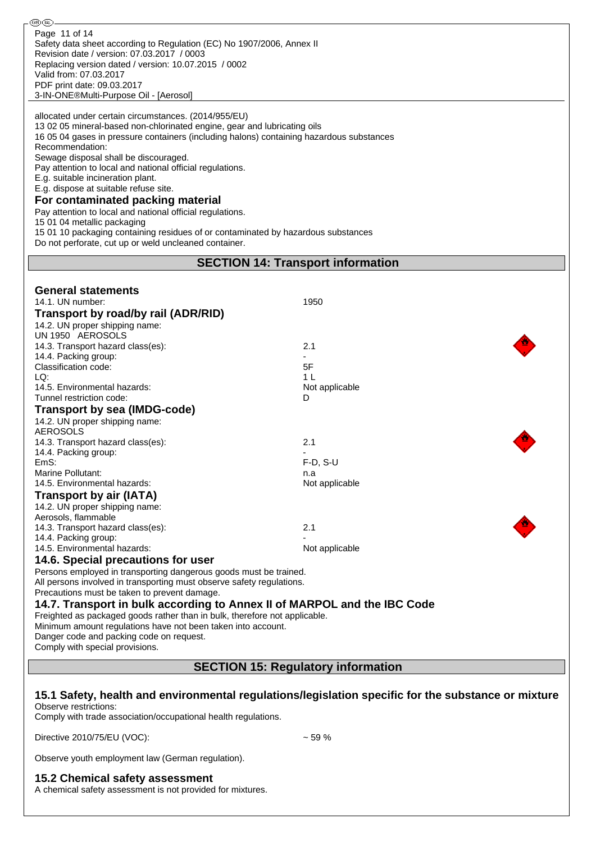| <b>®®</b>                                                                                                                                                            |                                                                                                     |  |  |  |
|----------------------------------------------------------------------------------------------------------------------------------------------------------------------|-----------------------------------------------------------------------------------------------------|--|--|--|
| Page 11 of 14<br>Safety data sheet according to Regulation (EC) No 1907/2006, Annex II                                                                               |                                                                                                     |  |  |  |
| Revision date / version: 07.03.2017 / 0003<br>Replacing version dated / version: 10.07.2015 / 0002                                                                   |                                                                                                     |  |  |  |
| Valid from: 07.03.2017                                                                                                                                               |                                                                                                     |  |  |  |
| PDF print date: 09.03.2017<br>3-IN-ONE®Multi-Purpose Oil - [Aerosol]                                                                                                 |                                                                                                     |  |  |  |
| allocated under certain circumstances. (2014/955/EU)                                                                                                                 |                                                                                                     |  |  |  |
| 13 02 05 mineral-based non-chlorinated engine, gear and lubricating oils<br>16 05 04 gases in pressure containers (including halons) containing hazardous substances |                                                                                                     |  |  |  |
| Recommendation:                                                                                                                                                      |                                                                                                     |  |  |  |
| Sewage disposal shall be discouraged.<br>Pay attention to local and national official regulations.                                                                   |                                                                                                     |  |  |  |
| E.g. suitable incineration plant.<br>E.g. dispose at suitable refuse site.                                                                                           |                                                                                                     |  |  |  |
| For contaminated packing material                                                                                                                                    |                                                                                                     |  |  |  |
| Pay attention to local and national official regulations.<br>15 01 04 metallic packaging                                                                             |                                                                                                     |  |  |  |
| 15 01 10 packaging containing residues of or contaminated by hazardous substances<br>Do not perforate, cut up or weld uncleaned container.                           |                                                                                                     |  |  |  |
|                                                                                                                                                                      | <b>SECTION 14: Transport information</b>                                                            |  |  |  |
|                                                                                                                                                                      |                                                                                                     |  |  |  |
| <b>General statements</b><br>14.1. UN number:                                                                                                                        | 1950                                                                                                |  |  |  |
| Transport by road/by rail (ADR/RID)                                                                                                                                  |                                                                                                     |  |  |  |
| 14.2. UN proper shipping name:<br>UN 1950 AEROSOLS                                                                                                                   |                                                                                                     |  |  |  |
| 14.3. Transport hazard class(es):                                                                                                                                    | 2.1                                                                                                 |  |  |  |
| 14.4. Packing group:<br>Classification code:                                                                                                                         | 5F                                                                                                  |  |  |  |
| LQ:<br>14.5. Environmental hazards:                                                                                                                                  | 1 <sub>L</sub><br>Not applicable                                                                    |  |  |  |
| Tunnel restriction code:                                                                                                                                             | D                                                                                                   |  |  |  |
| Transport by sea (IMDG-code)<br>14.2. UN proper shipping name:                                                                                                       |                                                                                                     |  |  |  |
| <b>AEROSOLS</b><br>14.3. Transport hazard class(es):                                                                                                                 | 2.1                                                                                                 |  |  |  |
| 14.4. Packing group:                                                                                                                                                 |                                                                                                     |  |  |  |
| EmS:<br>Marine Pollutant:                                                                                                                                            | $F-D$ , $S-U$<br>n.a                                                                                |  |  |  |
| 14.5. Environmental hazards:                                                                                                                                         | Not applicable                                                                                      |  |  |  |
| <b>Transport by air (IATA)</b><br>14.2. UN proper shipping name:                                                                                                     |                                                                                                     |  |  |  |
| Aerosols, flammable<br>14.3. Transport hazard class(es):                                                                                                             | 2.1                                                                                                 |  |  |  |
| 14.4. Packing group:                                                                                                                                                 |                                                                                                     |  |  |  |
| 14.5. Environmental hazards:<br>14.6. Special precautions for user                                                                                                   | Not applicable                                                                                      |  |  |  |
| Persons employed in transporting dangerous goods must be trained.<br>All persons involved in transporting must observe safety regulations.                           |                                                                                                     |  |  |  |
| Precautions must be taken to prevent damage.                                                                                                                         |                                                                                                     |  |  |  |
| 14.7. Transport in bulk according to Annex II of MARPOL and the IBC Code<br>Freighted as packaged goods rather than in bulk, therefore not applicable.               |                                                                                                     |  |  |  |
| Minimum amount regulations have not been taken into account.<br>Danger code and packing code on request.                                                             |                                                                                                     |  |  |  |
| Comply with special provisions.                                                                                                                                      |                                                                                                     |  |  |  |
| <b>SECTION 15: Regulatory information</b>                                                                                                                            |                                                                                                     |  |  |  |
|                                                                                                                                                                      |                                                                                                     |  |  |  |
| Observe restrictions:<br>Comply with trade association/occupational health regulations.                                                                              | 15.1 Safety, health and environmental regulations/legislation specific for the substance or mixture |  |  |  |
| Directive 2010/75/EU (VOC):                                                                                                                                          | ~59%                                                                                                |  |  |  |
| Observe youth employment law (German regulation).                                                                                                                    |                                                                                                     |  |  |  |

### **15.2 Chemical safety assessment**

A chemical safety assessment is not provided for mixtures.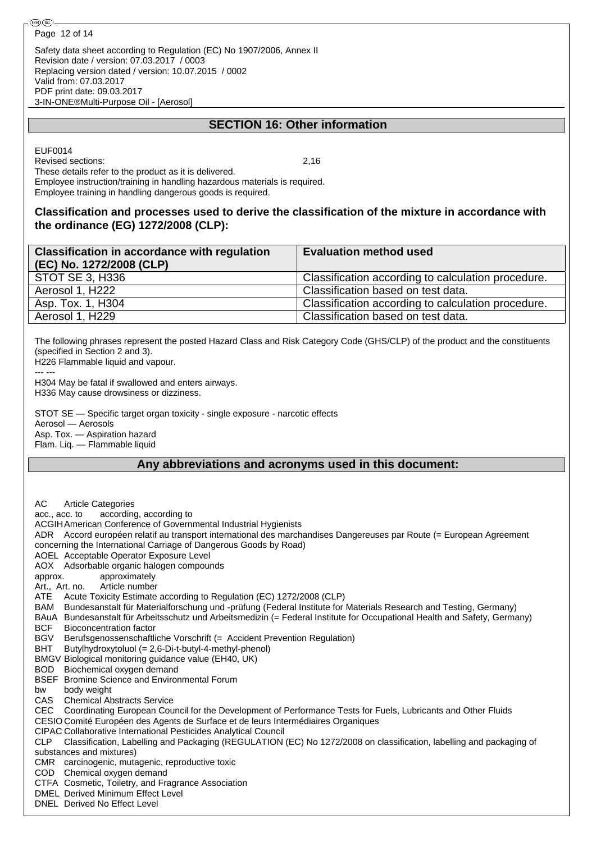Safety data sheet according to Regulation (EC) No 1907/2006, Annex II Revision date / version: 07.03.2017 / 0003 Replacing version dated / version: 10.07.2015 / 0002 Valid from: 07.03.2017 PDF print date: 09.03.2017 3-IN-ONE®Multi-Purpose Oil - [Aerosol]

## **SECTION 16: Other information**

EUF0014 Revised sections: 2,16

These details refer to the product as it is delivered. Employee instruction/training in handling hazardous materials is required. Employee training in handling dangerous goods is required.

## **Classification and processes used to derive the classification of the mixture in accordance with the ordinance (EG) 1272/2008 (CLP):**

| <b>Classification in accordance with regulation</b><br>(EC) No. 1272/2008 (CLP) | <b>Evaluation method used</b>                      |
|---------------------------------------------------------------------------------|----------------------------------------------------|
| STOT SE 3, H336                                                                 | Classification according to calculation procedure. |
| Aerosol 1, H222                                                                 | Classification based on test data.                 |
| Asp. Tox. 1, H304                                                               | Classification according to calculation procedure. |
| Aerosol 1, H229                                                                 | Classification based on test data.                 |
|                                                                                 |                                                    |

The following phrases represent the posted Hazard Class and Risk Category Code (GHS/CLP) of the product and the constituents (specified in Section 2 and 3).

H226 Flammable liquid and vapour.

--- --- H304 May be fatal if swallowed and enters airways. H336 May cause drowsiness or dizziness.

STOT SE — Specific target organ toxicity - single exposure - narcotic effects Aerosol — Aerosols Asp. Tox. — Aspiration hazard Flam. Liq. — Flammable liquid

## **Any abbreviations and acronyms used in this document:**

AC Article Categories acc., acc. to according, according to ACGIHAmerican Conference of Governmental Industrial Hygienists ADR Accord européen relatif au transport international des marchandises Dangereuses par Route (= European Agreement concerning the International Carriage of Dangerous Goods by Road) AOEL Acceptable Operator Exposure Level AOX Adsorbable organic halogen compounds approx. approximately Art., Art. no. Article number ATE Acute Toxicity Estimate according to Regulation (EC) 1272/2008 (CLP) BAM Bundesanstalt für Materialforschung und -prüfung (Federal Institute for Materials Research and Testing, Germany) BAuA Bundesanstalt für Arbeitsschutz und Arbeitsmedizin (= Federal Institute for Occupational Health and Safety, Germany) BCF Bioconcentration factor BGV Berufsgenossenschaftliche Vorschrift (= Accident Prevention Regulation) BHT Butylhydroxytoluol (= 2,6-Di-t-butyl-4-methyl-phenol) BMGV Biological monitoring guidance value (EH40, UK) BOD Biochemical oxygen demand BSEF Bromine Science and Environmental Forum bw body weight CAS Chemical Abstracts Service CEC Coordinating European Council for the Development of Performance Tests for Fuels, Lubricants and Other Fluids CESIO Comité Européen des Agents de Surface et de leurs Intermédiaires Organiques CIPAC Collaborative International Pesticides Analytical Council CLP Classification, Labelling and Packaging (REGULATION (EC) No 1272/2008 on classification, labelling and packaging of substances and mixtures) CMR carcinogenic, mutagenic, reproductive toxic COD Chemical oxygen demand CTFA Cosmetic, Toiletry, and Fragrance Association DMEL Derived Minimum Effect Level DNEL Derived No Effect Level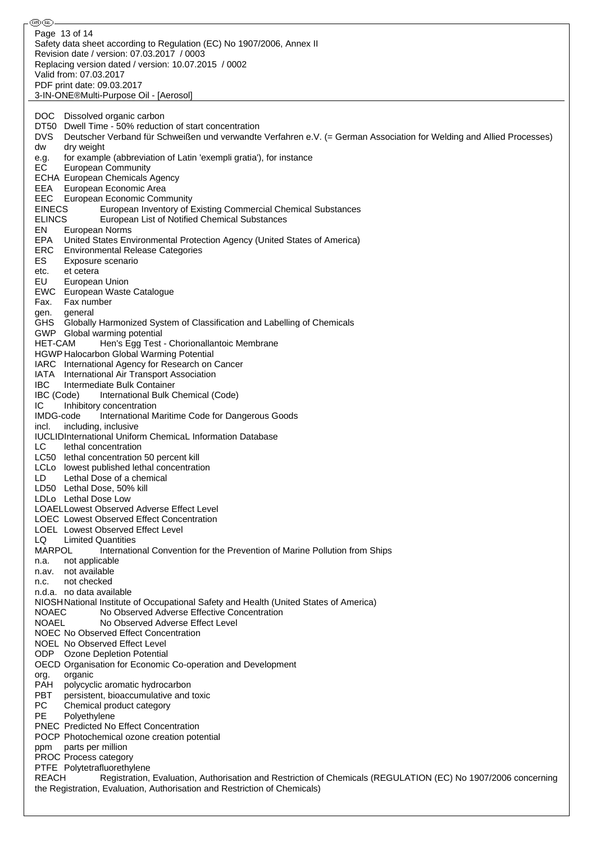௵௵ Page 13 of 14Safety data sheet according to Regulation (EC) No 1907/2006, Annex II Revision date / version: 07.03.2017 / 0003 Replacing version dated / version: 10.07.2015 / 0002 Valid from: 07.03.2017 PDF print date: 09.03.2017 3-IN-ONE®Multi-Purpose Oil - [Aerosol] DOC Dissolved organic carbon DT50 Dwell Time - 50% reduction of start concentration DVS Deutscher Verband für Schweißen und verwandte Verfahren e.V. (= German Association for Welding and Allied Processes) dw dry weight<br>e.g. for exampl for example (abbreviation of Latin 'exempli gratia'), for instance EC European Community ECHA European Chemicals Agency EEA European Economic Area EEC European Economic Community EINECS European Inventory of Existing Commercial Chemical Substances ELINCS European List of Notified Chemical Substances EN European Norms EPA United States Environmental Protection Agency (United States of America) ERC Environmental Release Categories ES Exposure scenario etc. et cetera EU European Union EWC European Waste Catalogue Fax. Fax number gen. general GHS Globally Harmonized System of Classification and Labelling of Chemicals GWP Global warming potential HET-CAM Hen's Egg Test - Chorionallantoic Membrane HGWP Halocarbon Global Warming Potential IARC International Agency for Research on Cancer IATA International Air Transport Association IBC Intermediate Bulk Container<br>IBC (Code) International Bulk C International Bulk Chemical (Code) IC Inhibitory concentration IMDG-code International Maritime Code for Dangerous Goods incl. including, inclusive IUCLIDInternational Uniform ChemicaL Information Database LC lethal concentration LC50 lethal concentration 50 percent kill LCLo lowest published lethal concentration LD Lethal Dose of a chemical LD50 Lethal Dose, 50% kill LDLo Lethal Dose Low LOAELLowest Observed Adverse Effect Level LOEC Lowest Observed Effect Concentration LOEL Lowest Observed Effect Level LQ Limited Quantities MARPOL International Convention for the Prevention of Marine Pollution from Ships n.a. not applicable n.av. not available n.c. not checked n.d.a. no data available NIOSHNational Institute of Occupational Safety and Health (United States of America) NOAEC No Observed Adverse Effective Concentration NOAEL No Observed Adverse Effect Level NOEC No Observed Effect Concentration NOEL No Observed Effect Level ODP Ozone Depletion Potential OECD Organisation for Economic Co-operation and Development org. organic PAH polycyclic aromatic hydrocarbon **PBT** persistent, bioaccumulative and toxic<br>PC Chemical product category Chemical product category PE Polyethylene PNEC Predicted No Effect Concentration POCP Photochemical ozone creation potential ppm parts per million PROC Process category PTFE Polytetrafluorethylene REACH Registration, Evaluation, Authorisation and Restriction of Chemicals (REGULATION (EC) No 1907/2006 concerning the Registration, Evaluation, Authorisation and Restriction of Chemicals)